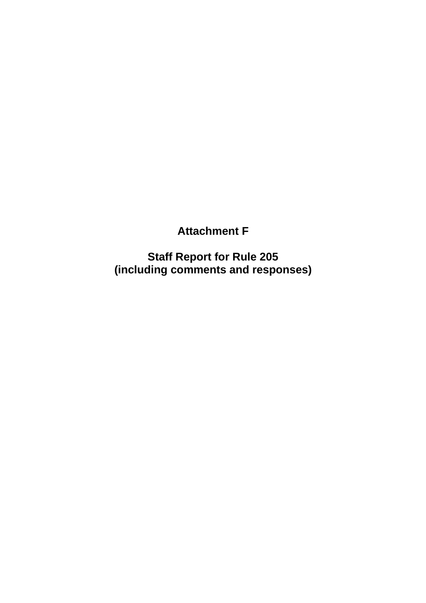**Attachment F**

**Staff Report for Rule 205 (including comments and responses)**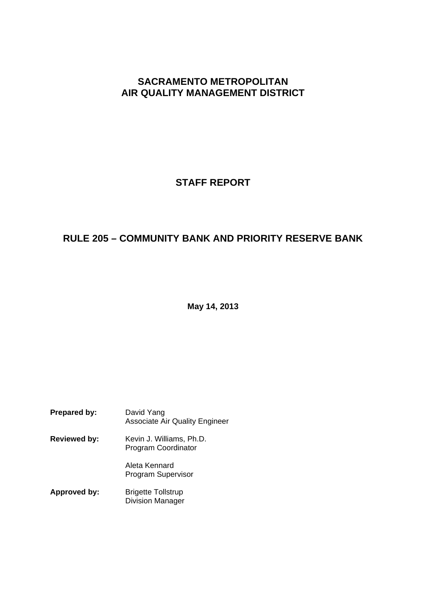## **SACRAMENTO METROPOLITAN AIR QUALITY MANAGEMENT DISTRICT**

# **STAFF REPORT**

# **RULE 205 – COMMUNITY BANK AND PRIORITY RESERVE BANK**

**May 14, 2013**

| <b>Prepared by:</b> | David Yang<br><b>Associate Air Quality Engineer</b>  |
|---------------------|------------------------------------------------------|
| <b>Reviewed by:</b> | Kevin J. Williams, Ph.D.<br>Program Coordinator      |
|                     | Aleta Kennard<br><b>Program Supervisor</b>           |
| Approved by:        | <b>Brigette Tollstrup</b><br><b>Division Manager</b> |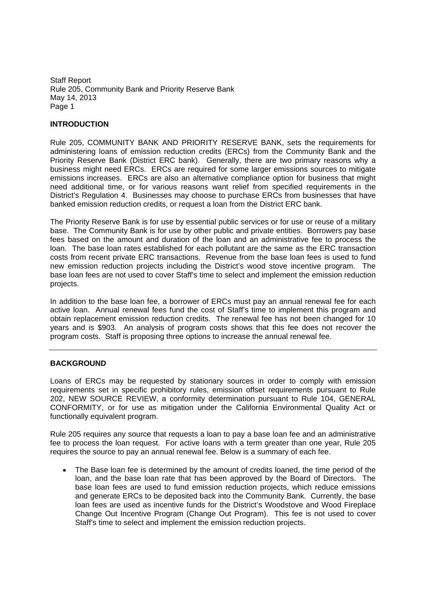## **INTRODUCTION**

Rule 205, COMMUNITY BANK AND PRIORITY RESERVE BANK, sets the requirements for administering loans of emission reduction credits (ERCs) from the Community Bank and the Priority Reserve Bank (District ERC bank). Generally, there are two primary reasons why a business might need ERCs. ERCs are required for some larger emissions sources to mitigate emissions increases. ERCs are also an alternative compliance option for business that might need additional time, or for various reasons want relief from specified requirements in the District's Regulation 4. Businesses may choose to purchase ERCs from businesses that have banked emission reduction credits, or request a loan from the District ERC bank.

The Priority Reserve Bank is for use by essential public services or for use or reuse of a military base. The Community Bank is for use by other public and private entities. Borrowers pay base fees based on the amount and duration of the loan and an administrative fee to process the loan. The base loan rates established for each pollutant are the same as the ERC transaction costs from recent private ERC transactions. Revenue from the base loan fees is used to fund new emission reduction projects including the District's wood stove incentive program. The base loan fees are not used to cover Staff's time to select and implement the emission reduction projects.

In addition to the base loan fee, a borrower of ERCs must pay an annual renewal fee for each active loan. Annual renewal fees fund the cost of Staff's time to implement this program and obtain replacement emission reduction credits. The renewal fee has not been changed for 10 years and is \$903. An analysis of program costs shows that this fee does not recover the program costs. Staff is proposing three options to increase the annual renewal fee.

### **BACKGROUND**

Loans of ERCs may be requested by stationary sources in order to comply with emission requirements set in specific prohibitory rules, emission offset requirements pursuant to Rule 202, NEW SOURCE REVIEW, a conformity determination pursuant to Rule 104, GENERAL CONFORMITY, or for use as mitigation under the California Environmental Quality Act or functionally equivalent program.

Rule 205 requires any source that requests a loan to pay a base loan fee and an administrative fee to process the loan request. For active loans with a term greater than one year, Rule 205 requires the source to pay an annual renewal fee. Below is a summary of each fee.

The Base loan fee is determined by the amount of credits loaned, the time period of the loan, and the base loan rate that has been approved by the Board of Directors. The base loan fees are used to fund emission reduction projects, which reduce emissions and generate ERCs to be deposited back into the Community Bank. Currently, the base loan fees are used as incentive funds for the District's Woodstove and Wood Fireplace Change Out Incentive Program (Change Out Program). This fee is not used to cover Staff's time to select and implement the emission reduction projects.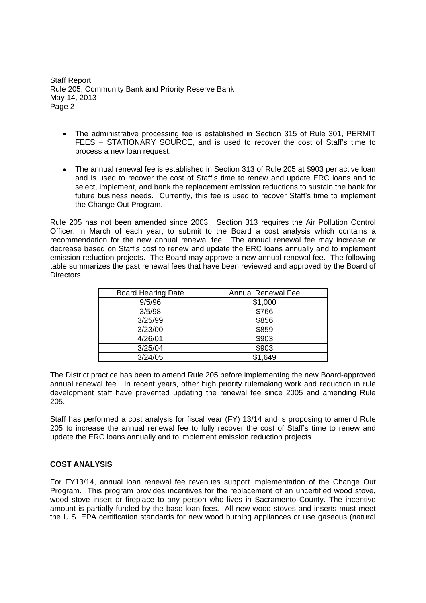- The administrative processing fee is established in Section 315 of Rule 301, PERMIT FEES – STATIONARY SOURCE, and is used to recover the cost of Staff's time to process a new loan request.
- The annual renewal fee is established in Section 313 of Rule 205 at \$903 per active loan and is used to recover the cost of Staff's time to renew and update ERC loans and to select, implement, and bank the replacement emission reductions to sustain the bank for future business needs. Currently, this fee is used to recover Staff's time to implement the Change Out Program.

Rule 205 has not been amended since 2003. Section 313 requires the Air Pollution Control Officer, in March of each year, to submit to the Board a cost analysis which contains a recommendation for the new annual renewal fee. The annual renewal fee may increase or decrease based on Staff's cost to renew and update the ERC loans annually and to implement emission reduction projects. The Board may approve a new annual renewal fee. The following table summarizes the past renewal fees that have been reviewed and approved by the Board of Directors.

| <b>Board Hearing Date</b> | <b>Annual Renewal Fee</b> |
|---------------------------|---------------------------|
| 9/5/96                    | \$1,000                   |
| 3/5/98                    | \$766                     |
| 3/25/99                   | \$856                     |
| 3/23/00                   | \$859                     |
| 4/26/01                   | \$903                     |
| 3/25/04                   | \$903                     |
| 3/24/05                   | \$1,649                   |

The District practice has been to amend Rule 205 before implementing the new Board-approved annual renewal fee. In recent years, other high priority rulemaking work and reduction in rule development staff have prevented updating the renewal fee since 2005 and amending Rule 205.

Staff has performed a cost analysis for fiscal year (FY) 13/14 and is proposing to amend Rule 205 to increase the annual renewal fee to fully recover the cost of Staff's time to renew and update the ERC loans annually and to implement emission reduction projects.

### **COST ANALYSIS**

For FY13/14, annual loan renewal fee revenues support implementation of the Change Out Program. This program provides incentives for the replacement of an uncertified wood stove, wood stove insert or fireplace to any person who lives in Sacramento County. The incentive amount is partially funded by the base loan fees. All new wood stoves and inserts must meet the U.S. EPA certification standards for new wood burning appliances or use gaseous (natural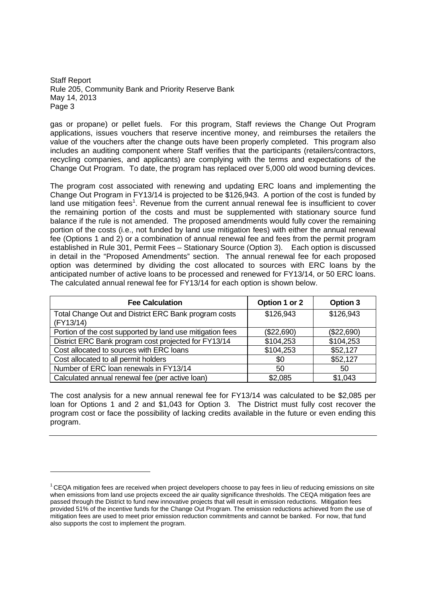gas or propane) or pellet fuels. For this program, Staff reviews the Change Out Program applications, issues vouchers that reserve incentive money, and reimburses the retailers the value of the vouchers after the change outs have been properly completed. This program also includes an auditing component where Staff verifies that the participants (retailers/contractors, recycling companies, and applicants) are complying with the terms and expectations of the Change Out Program. To date, the program has replaced over 5,000 old wood burning devices.

The program cost associated with renewing and updating ERC loans and implementing the Change Out Program in FY13/14 is projected to be \$126,943. A portion of the cost is funded by land use mitigation fees<sup>1</sup>. Revenue from the current annual renewal fee is insufficient to cover the remaining portion of the costs and must be supplemented with stationary source fund balance if the rule is not amended. The proposed amendments would fully cover the remaining portion of the costs (i.e., not funded by land use mitigation fees) with either the annual renewal fee (Options 1 and 2) or a combination of annual renewal fee and fees from the permit program established in Rule 301, Permit Fees – Stationary Source (Option 3). Each option is discussed in detail in the "Proposed Amendments" section. The annual renewal fee for each proposed option was determined by dividing the cost allocated to sources with ERC loans by the anticipated number of active loans to be processed and renewed for FY13/14, or 50 ERC loans. The calculated annual renewal fee for FY13/14 for each option is shown below.

| <b>Fee Calculation</b>                                            | Option 1 or 2 | <b>Option 3</b> |
|-------------------------------------------------------------------|---------------|-----------------|
| Total Change Out and District ERC Bank program costs<br>(FY13/14) | \$126,943     | \$126,943       |
| Portion of the cost supported by land use mitigation fees         | (\$22,690)    | (\$22,690)      |
| District ERC Bank program cost projected for FY13/14              | \$104,253     | \$104,253       |
| Cost allocated to sources with ERC loans                          | \$104,253     | \$52,127        |
| Cost allocated to all permit holders                              | \$0           | \$52,127        |
| Number of ERC loan renewals in FY13/14                            | 50            | 50              |
| Calculated annual renewal fee (per active loan)                   | \$2,085       | \$1,043         |

The cost analysis for a new annual renewal fee for FY13/14 was calculated to be \$2,085 per loan for Options 1 and 2 and \$1,043 for Option 3. The District must fully cost recover the program cost or face the possibility of lacking credits available in the future or even ending this program.

 $1$  CEQA mitigation fees are received when project developers choose to pay fees in lieu of reducing emissions on site when emissions from land use projects exceed the air quality significance thresholds. The CEQA mitigation fees are passed through the District to fund new innovative projects that will result in emission reductions. Mitigation fees provided 51% of the incentive funds for the Change Out Program. The emission reductions achieved from the use of mitigation fees are used to meet prior emission reduction commitments and cannot be banked. For now, that fund also supports the cost to implement the program.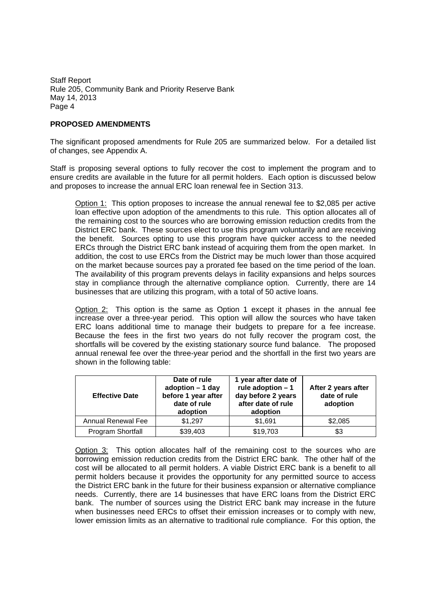## **PROPOSED AMENDMENTS**

The significant proposed amendments for Rule 205 are summarized below. For a detailed list of changes, see Appendix A.

Staff is proposing several options to fully recover the cost to implement the program and to ensure credits are available in the future for all permit holders. Each option is discussed below and proposes to increase the annual ERC loan renewal fee in Section 313.

Option 1: This option proposes to increase the annual renewal fee to \$2,085 per active loan effective upon adoption of the amendments to this rule. This option allocates all of the remaining cost to the sources who are borrowing emission reduction credits from the District ERC bank. These sources elect to use this program voluntarily and are receiving the benefit. Sources opting to use this program have quicker access to the needed ERCs through the District ERC bank instead of acquiring them from the open market. In addition, the cost to use ERCs from the District may be much lower than those acquired on the market because sources pay a prorated fee based on the time period of the loan. The availability of this program prevents delays in facility expansions and helps sources stay in compliance through the alternative compliance option. Currently, there are 14 businesses that are utilizing this program, with a total of 50 active loans.

Option 2: This option is the same as Option 1 except it phases in the annual fee increase over a three-year period. This option will allow the sources who have taken ERC loans additional time to manage their budgets to prepare for a fee increase. Because the fees in the first two years do not fully recover the program cost, the shortfalls will be covered by the existing stationary source fund balance. The proposed annual renewal fee over the three-year period and the shortfall in the first two years are shown in the following table:

| <b>Effective Date</b> | Date of rule<br>adoption $-1$ day<br>before 1 year after<br>date of rule<br>adoption | 1 year after date of<br>rule adoption $-1$<br>day before 2 years<br>after date of rule<br>adoption | After 2 years after<br>date of rule<br>adoption |
|-----------------------|--------------------------------------------------------------------------------------|----------------------------------------------------------------------------------------------------|-------------------------------------------------|
| Annual Renewal Fee    | \$1,297                                                                              | \$1,691                                                                                            | \$2,085                                         |
| Program Shortfall     | \$39,403                                                                             | \$19,703                                                                                           | \$3                                             |

Option 3: This option allocates half of the remaining cost to the sources who are borrowing emission reduction credits from the District ERC bank. The other half of the cost will be allocated to all permit holders. A viable District ERC bank is a benefit to all permit holders because it provides the opportunity for any permitted source to access the District ERC bank in the future for their business expansion or alternative compliance needs. Currently, there are 14 businesses that have ERC loans from the District ERC bank. The number of sources using the District ERC bank may increase in the future when businesses need ERCs to offset their emission increases or to comply with new, lower emission limits as an alternative to traditional rule compliance. For this option, the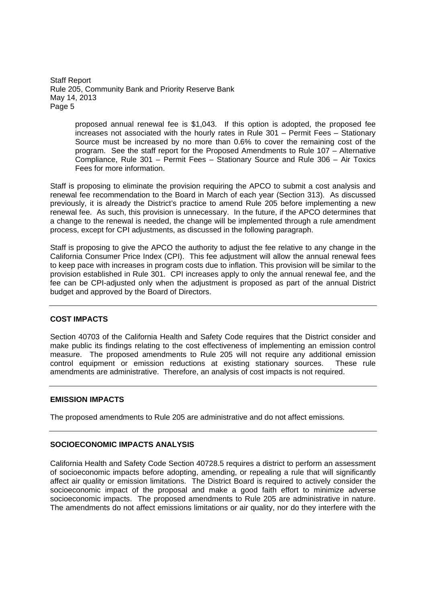> proposed annual renewal fee is \$1,043. If this option is adopted, the proposed fee increases not associated with the hourly rates in Rule 301 – Permit Fees – Stationary Source must be increased by no more than 0.6% to cover the remaining cost of the program. See the staff report for the Proposed Amendments to Rule 107 – Alternative Compliance, Rule 301 – Permit Fees – Stationary Source and Rule 306 – Air Toxics Fees for more information.

Staff is proposing to eliminate the provision requiring the APCO to submit a cost analysis and renewal fee recommendation to the Board in March of each year (Section 313). As discussed previously, it is already the District's practice to amend Rule 205 before implementing a new renewal fee. As such, this provision is unnecessary. In the future, if the APCO determines that a change to the renewal is needed, the change will be implemented through a rule amendment process, except for CPI adjustments, as discussed in the following paragraph.

Staff is proposing to give the APCO the authority to adjust the fee relative to any change in the California Consumer Price Index (CPI). This fee adjustment will allow the annual renewal fees to keep pace with increases in program costs due to inflation. This provision will be similar to the provision established in Rule 301. CPI increases apply to only the annual renewal fee, and the fee can be CPI-adjusted only when the adjustment is proposed as part of the annual District budget and approved by the Board of Directors.

## **COST IMPACTS**

Section 40703 of the California Health and Safety Code requires that the District consider and make public its findings relating to the cost effectiveness of implementing an emission control measure. The proposed amendments to Rule 205 will not require any additional emission control equipment or emission reductions at existing stationary sources. These rule amendments are administrative. Therefore, an analysis of cost impacts is not required.

### **EMISSION IMPACTS**

The proposed amendments to Rule 205 are administrative and do not affect emissions.

## **SOCIOECONOMIC IMPACTS ANALYSIS**

California Health and Safety Code Section 40728.5 requires a district to perform an assessment of socioeconomic impacts before adopting, amending, or repealing a rule that will significantly affect air quality or emission limitations. The District Board is required to actively consider the socioeconomic impact of the proposal and make a good faith effort to minimize adverse socioeconomic impacts. The proposed amendments to Rule 205 are administrative in nature. The amendments do not affect emissions limitations or air quality, nor do they interfere with the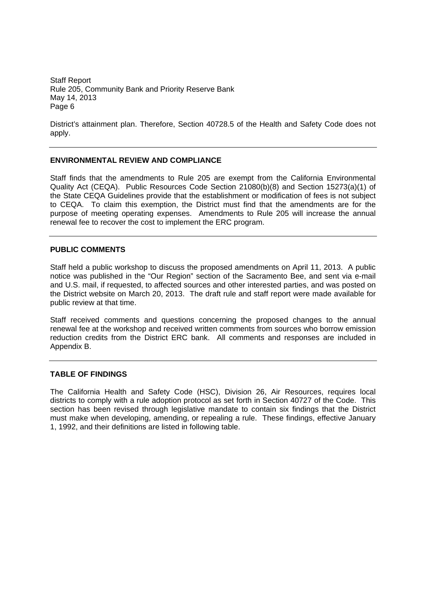District's attainment plan. Therefore, Section 40728.5 of the Health and Safety Code does not apply.

## **ENVIRONMENTAL REVIEW AND COMPLIANCE**

Staff finds that the amendments to Rule 205 are exempt from the California Environmental Quality Act (CEQA). Public Resources Code Section 21080(b)(8) and Section 15273(a)(1) of the State CEQA Guidelines provide that the establishment or modification of fees is not subject to CEQA. To claim this exemption, the District must find that the amendments are for the purpose of meeting operating expenses. Amendments to Rule 205 will increase the annual renewal fee to recover the cost to implement the ERC program.

### **PUBLIC COMMENTS**

Staff held a public workshop to discuss the proposed amendments on April 11, 2013. A public notice was published in the "Our Region" section of the Sacramento Bee, and sent via e-mail and U.S. mail, if requested, to affected sources and other interested parties, and was posted on the District website on March 20, 2013. The draft rule and staff report were made available for public review at that time.

Staff received comments and questions concerning the proposed changes to the annual renewal fee at the workshop and received written comments from sources who borrow emission reduction credits from the District ERC bank. All comments and responses are included in Appendix B.

### **TABLE OF FINDINGS**

The California Health and Safety Code (HSC), Division 26, Air Resources, requires local districts to comply with a rule adoption protocol as set forth in Section 40727 of the Code. This section has been revised through legislative mandate to contain six findings that the District must make when developing, amending, or repealing a rule. These findings, effective January 1, 1992, and their definitions are listed in following table.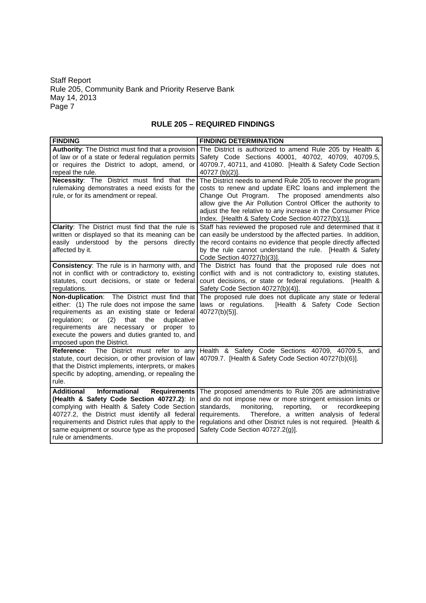## **RULE 205 – REQUIRED FINDINGS**

| <b>FINDING</b>                                                                                                                                                                                                                                                                                                                         | <b>FINDING DETERMINATION</b>                                                                                                                                                                                                                                                                                                                                      |
|----------------------------------------------------------------------------------------------------------------------------------------------------------------------------------------------------------------------------------------------------------------------------------------------------------------------------------------|-------------------------------------------------------------------------------------------------------------------------------------------------------------------------------------------------------------------------------------------------------------------------------------------------------------------------------------------------------------------|
| Authority: The District must find that a provision<br>of law or of a state or federal regulation permits<br>or requires the District to adopt, amend, or<br>repeal the rule.                                                                                                                                                           | The District is authorized to amend Rule 205 by Health &<br>Safety Code Sections 40001, 40702, 40709, 40709.5,<br>40709.7, 40711, and 41080. [Health & Safety Code Section<br>40727 (b)(2)].                                                                                                                                                                      |
| Necessity: The District must find that the<br>rulemaking demonstrates a need exists for the<br>rule, or for its amendment or repeal.                                                                                                                                                                                                   | The District needs to amend Rule 205 to recover the program<br>costs to renew and update ERC loans and implement the<br>Change Out Program. The proposed amendments also<br>allow give the Air Pollution Control Officer the authority to<br>adjust the fee relative to any increase in the Consumer Price<br>Index. [Health & Safety Code Section 40727(b)(1)].  |
| Clarity: The District must find that the rule is<br>written or displayed so that its meaning can be<br>easily understood by the persons directly<br>affected by it.                                                                                                                                                                    | Staff has reviewed the proposed rule and determined that it<br>can easily be understood by the affected parties. In addition,<br>the record contains no evidence that people directly affected<br>by the rule cannot understand the rule. [Health & Safety<br>Code Section 40727(b)(3)].                                                                          |
| Consistency: The rule is in harmony with, and<br>not in conflict with or contradictory to, existing<br>statutes, court decisions, or state or federal<br>regulations.                                                                                                                                                                  | The District has found that the proposed rule does not<br>conflict with and is not contradictory to, existing statutes,<br>court decisions, or state or federal regulations. [Health &<br>Safety Code Section 40727(b)(4)].                                                                                                                                       |
| Non-duplication: The District must find that<br>either: (1) The rule does not impose the same<br>requirements as an existing state or federal<br>regulation;<br>(2)<br>that<br>the<br>duplicative<br>or<br>requirements are necessary or proper to<br>execute the powers and duties granted to, and<br>imposed upon the District.      | The proposed rule does not duplicate any state or federal<br>laws or regulations.<br>[Health & Safety Code Section<br>40727(b)(5)].                                                                                                                                                                                                                               |
| Reference:<br>The District must refer to any<br>statute, court decision, or other provision of law<br>that the District implements, interprets, or makes<br>specific by adopting, amending, or repealing the<br>rule.                                                                                                                  | Health & Safety Code Sections 40709, 40709.5, and<br>40709.7. [Health & Safety Code Section 40727(b)(6)].                                                                                                                                                                                                                                                         |
| Informational<br><b>Additional</b><br><b>Requirements</b><br>(Health & Safety Code Section 40727.2): In<br>complying with Health & Safety Code Section<br>40727.2, the District must identify all federal<br>requirements and District rules that apply to the<br>same equipment or source type as the proposed<br>rule or amendments. | The proposed amendments to Rule 205 are administrative<br>and do not impose new or more stringent emission limits or<br>standards,<br>monitoring,<br>reporting,<br><b>or</b><br>recordkeeping<br>Therefore, a written analysis of federal<br>requirements.<br>regulations and other District rules is not required. [Health &<br>Safety Code Section 40727.2(g)]. |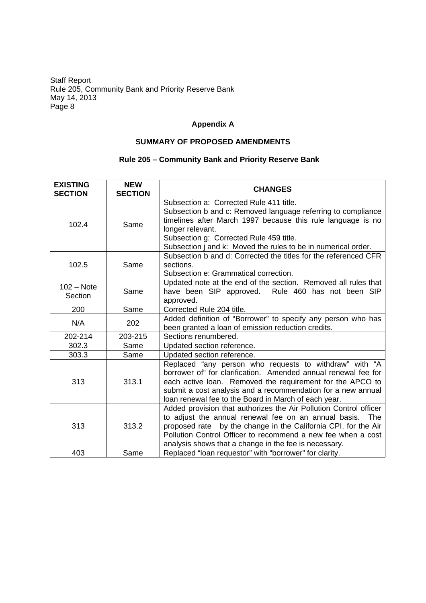## **Appendix A**

## **SUMMARY OF PROPOSED AMENDMENTS**

## **Rule 205 – Community Bank and Priority Reserve Bank**

| <b>EXISTING</b><br><b>SECTION</b> | <b>NEW</b><br><b>SECTION</b> | <b>CHANGES</b>                                                                                                                                                                                                                                                                                                              |
|-----------------------------------|------------------------------|-----------------------------------------------------------------------------------------------------------------------------------------------------------------------------------------------------------------------------------------------------------------------------------------------------------------------------|
| 102.4                             | Same                         | Subsection a: Corrected Rule 411 title.<br>Subsection b and c: Removed language referring to compliance<br>timelines after March 1997 because this rule language is no<br>longer relevant.<br>Subsection g: Corrected Rule 459 title.<br>Subsection j and k: Moved the rules to be in numerical order.                      |
| 102.5                             | Same                         | Subsection b and d: Corrected the titles for the referenced CFR<br>sections.<br>Subsection e: Grammatical correction.                                                                                                                                                                                                       |
| $102 - Note$<br>Section           | Same                         | Updated note at the end of the section. Removed all rules that<br>have been SIP approved. Rule 460 has not been SIP<br>approved.                                                                                                                                                                                            |
| 200                               | Same                         | Corrected Rule 204 title.                                                                                                                                                                                                                                                                                                   |
| N/A                               | 202                          | Added definition of "Borrower" to specify any person who has<br>been granted a loan of emission reduction credits.                                                                                                                                                                                                          |
| 202-214                           | 203-215                      | Sections renumbered.                                                                                                                                                                                                                                                                                                        |
| 302.3                             | Same                         | Updated section reference.                                                                                                                                                                                                                                                                                                  |
| 303.3                             | Same                         | Updated section reference.                                                                                                                                                                                                                                                                                                  |
| 313                               | 313.1                        | Replaced "any person who requests to withdraw" with "A<br>borrower of" for clarification. Amended annual renewal fee for<br>each active loan. Removed the requirement for the APCO to<br>submit a cost analysis and a recommendation for a new annual<br>loan renewal fee to the Board in March of each year.               |
| 313                               | 313.2                        | Added provision that authorizes the Air Pollution Control officer<br>to adjust the annual renewal fee on an annual basis. The<br>by the change in the California CPI. for the Air<br>proposed rate<br>Pollution Control Officer to recommend a new fee when a cost<br>analysis shows that a change in the fee is necessary. |
| 403                               | Same                         | Replaced "loan requestor" with "borrower" for clarity.                                                                                                                                                                                                                                                                      |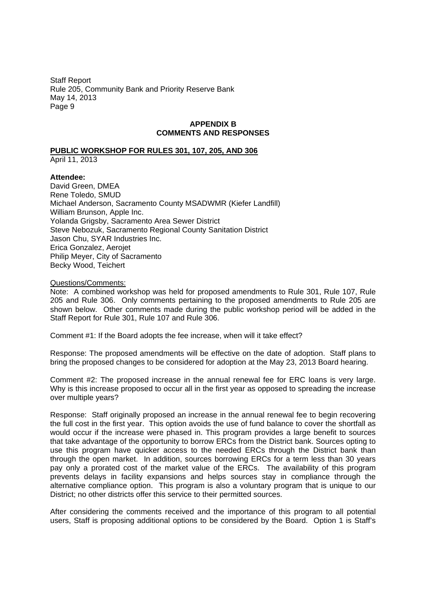## **APPENDIX B COMMENTS AND RESPONSES**

## **PUBLIC WORKSHOP FOR RULES 301, 107, 205, AND 306**

April 11, 2013

#### **Attendee:**

David Green, DMEA Rene Toledo, SMUD Michael Anderson, Sacramento County MSADWMR (Kiefer Landfill) William Brunson, Apple Inc. Yolanda Grigsby, Sacramento Area Sewer District Steve Nebozuk, Sacramento Regional County Sanitation District Jason Chu, SYAR Industries Inc. Erica Gonzalez, Aerojet Philip Meyer, City of Sacramento Becky Wood, Teichert

#### Questions/Comments:

Note: A combined workshop was held for proposed amendments to Rule 301, Rule 107, Rule 205 and Rule 306. Only comments pertaining to the proposed amendments to Rule 205 are shown below. Other comments made during the public workshop period will be added in the Staff Report for Rule 301, Rule 107 and Rule 306.

Comment #1: If the Board adopts the fee increase, when will it take effect?

Response: The proposed amendments will be effective on the date of adoption. Staff plans to bring the proposed changes to be considered for adoption at the May 23, 2013 Board hearing.

Comment #2: The proposed increase in the annual renewal fee for ERC loans is very large. Why is this increase proposed to occur all in the first year as opposed to spreading the increase over multiple years?

Response: Staff originally proposed an increase in the annual renewal fee to begin recovering the full cost in the first year. This option avoids the use of fund balance to cover the shortfall as would occur if the increase were phased in. This program provides a large benefit to sources that take advantage of the opportunity to borrow ERCs from the District bank. Sources opting to use this program have quicker access to the needed ERCs through the District bank than through the open market. In addition, sources borrowing ERCs for a term less than 30 years pay only a prorated cost of the market value of the ERCs. The availability of this program prevents delays in facility expansions and helps sources stay in compliance through the alternative compliance option. This program is also a voluntary program that is unique to our District; no other districts offer this service to their permitted sources.

After considering the comments received and the importance of this program to all potential users, Staff is proposing additional options to be considered by the Board. Option 1 is Staff's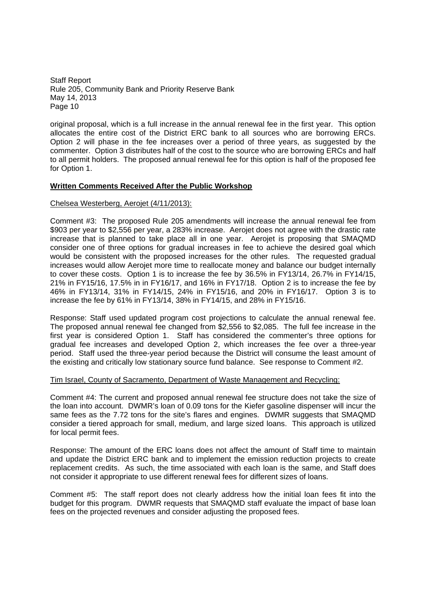original proposal, which is a full increase in the annual renewal fee in the first year. This option allocates the entire cost of the District ERC bank to all sources who are borrowing ERCs. Option 2 will phase in the fee increases over a period of three years, as suggested by the commenter. Option 3 distributes half of the cost to the source who are borrowing ERCs and half to all permit holders. The proposed annual renewal fee for this option is half of the proposed fee for Option 1.

## **Written Comments Received After the Public Workshop**

### Chelsea Westerberg, Aerojet (4/11/2013):

Comment #3: The proposed Rule 205 amendments will increase the annual renewal fee from \$903 per year to \$2,556 per year, a 283% increase. Aerojet does not agree with the drastic rate increase that is planned to take place all in one year. Aerojet is proposing that SMAQMD consider one of three options for gradual increases in fee to achieve the desired goal which would be consistent with the proposed increases for the other rules. The requested gradual increases would allow Aerojet more time to reallocate money and balance our budget internally to cover these costs. Option 1 is to increase the fee by 36.5% in FY13/14, 26.7% in FY14/15, 21% in FY15/16, 17.5% in in FY16/17, and 16% in FY17/18. Option 2 is to increase the fee by 46% in FY13/14, 31% in FY14/15, 24% in FY15/16, and 20% in FY16/17. Option 3 is to increase the fee by 61% in FY13/14, 38% in FY14/15, and 28% in FY15/16.

Response: Staff used updated program cost projections to calculate the annual renewal fee. The proposed annual renewal fee changed from \$2,556 to \$2,085. The full fee increase in the first year is considered Option 1. Staff has considered the commenter's three options for gradual fee increases and developed Option 2, which increases the fee over a three-year period. Staff used the three-year period because the District will consume the least amount of the existing and critically low stationary source fund balance. See response to Comment #2.

### Tim Israel, County of Sacramento, Department of Waste Management and Recycling:

Comment #4: The current and proposed annual renewal fee structure does not take the size of the loan into account. DWMR's loan of 0.09 tons for the Kiefer gasoline dispenser will incur the same fees as the 7.72 tons for the site's flares and engines. DWMR suggests that SMAQMD consider a tiered approach for small, medium, and large sized loans. This approach is utilized for local permit fees.

Response: The amount of the ERC loans does not affect the amount of Staff time to maintain and update the District ERC bank and to implement the emission reduction projects to create replacement credits. As such, the time associated with each loan is the same, and Staff does not consider it appropriate to use different renewal fees for different sizes of loans.

Comment #5: The staff report does not clearly address how the initial loan fees fit into the budget for this program. DWMR requests that SMAQMD staff evaluate the impact of base loan fees on the projected revenues and consider adjusting the proposed fees.